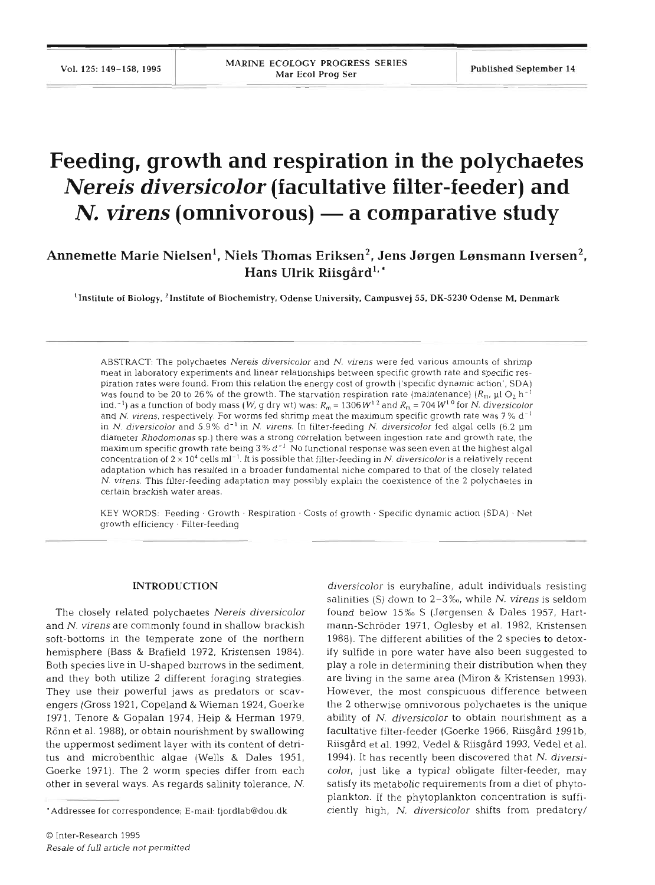# **Feeding, growth and respiration in the polychaetes**  *Nereis diversicolor* **(facultative filter-feeder) and**  *N. virens* (omnivorous) — a comparative study

## Annemette Marie Nielsen<sup>1</sup>, Niels Thomas Eriksen<sup>2</sup>, Jens Jørgen Lønsmann Iversen<sup>2</sup>, Hans Ulrik Riisgård<sup>1,</sup>\*

'Institute **of Biology,** 'Institute **of** Biochemistry, Odense University, Campusvej 55. **DK-5230** Odense M. Denmark

ABSTRACT: The polychaetes Nereis diversicolor and N. virens were fed various amounts of shrimp meat in laboratory experiments and linear relationships between specific growth rate and specific respiration rates were found. From this relation the energy cost of growth ('specific dynamic action', SDA) was found to be 20 to 26% of the growth. The starvation respiration rate (maintenance)  $(R_{\rm m}, \mu$ 1 O<sub>2</sub> h<sup>-1</sup> ind.<sup>-1</sup>) as a function of body mass (W, g dry wt) was:  $R_m = 1306 W^{12}$  and  $R_m = 704 W^{10}$  for N. diversicolor and N. virens, respectively. For worms fed shrimp meat the maximum specific growth rate was 7% d<sup>-1</sup> in N. diversicolor and 5.9% d<sup>-1</sup> in N. virens. In filter-feeding N. diversicolor fed algal cells (6.2 µm diameter Rhodomonas sp.) there was a strong correlation between ingestion rate and growth rate, the maximum specific growth rate being  $3\%$  d<sup>-1</sup> No functional response was seen even at the highest algal concentration of  $2 \times 10^4$  cells ml<sup>-1</sup>. It is possible that filter-feeding in N. diversicolor is a relatively recent adaptation which has resulted in a broader fundamental niche compared to that of the closely related N. virens. This filter-feeding adaptation may possibly explain the coexistence of the 2 polychaetes in certain brackish water areas.

KEY WORDS: Feeding . Growth . Respiration . Costs of growth . Specific dynamic action (SDA) . Net growth efficiency . Filter-feeding

### **INTRODUCTION**

The closely related polychaetes *Nereis diversic0101*  and *N. virens* are commonly found in shallow brackish soft-bottoms in the temperate zone of the northern hemisphere (Bass & Brafield 1972, Kristensen 1984). Both species live in U-shaped burrows in the sediment, and they both utilize 2 different foraging strategies. They use their powerful jaws as predators or scavengers (Gross 1921, Copeland & Wieman 1924, Goerke 1971, Tenore & Gopalan 1974, Heip & Herman 1979, Rönn et al. 1988), or obtain nourishment by swallowing the uppermost sediment layer with its content of detritus and microbenthic algae (Wells & Dales 1951, Goerke 1971). The 2 worm species differ from each other in several ways. As regards salinity tolerance, *N.* 

*diversicolor* is euryhaline, adult individuals resisting salinities (S) down to **2-3%o,** while N. *virens* is seldom found below 15% S (Jørgensen & Dales 1957, Hartmann-Schröder 1971, Oglesby et al. 1982, Kristensen 1988). The different abilities of the 2 species to detoxify sulfide in pore water have also been suggested to play a role in determining their distribution when they are living in the same area (Miron & Kristensen 1993). However, the most conspicuous difference between the 2 otherwise omnivorous polychaetes is the unique ability of N. *diversicolor* to obtain nourishment as a facultative filter-feeder (Goerke 1966, Riisgård 1991b, Riisgård et al. 1992, Vedel & Riisgård 1993, Vedel et al. 1994). It has recently been discovered that N. *diversicolor,* just like a typical obligate filter-feeder, may satisfy its metabolic requirements from a diet of phytoplankton. If the phytoplankton concentration is sufficiently high, *N. diversicolor* shifts from predatory/

<sup>&#</sup>x27;Addressee for correspondence; E-mail: fjordlab@dou.dk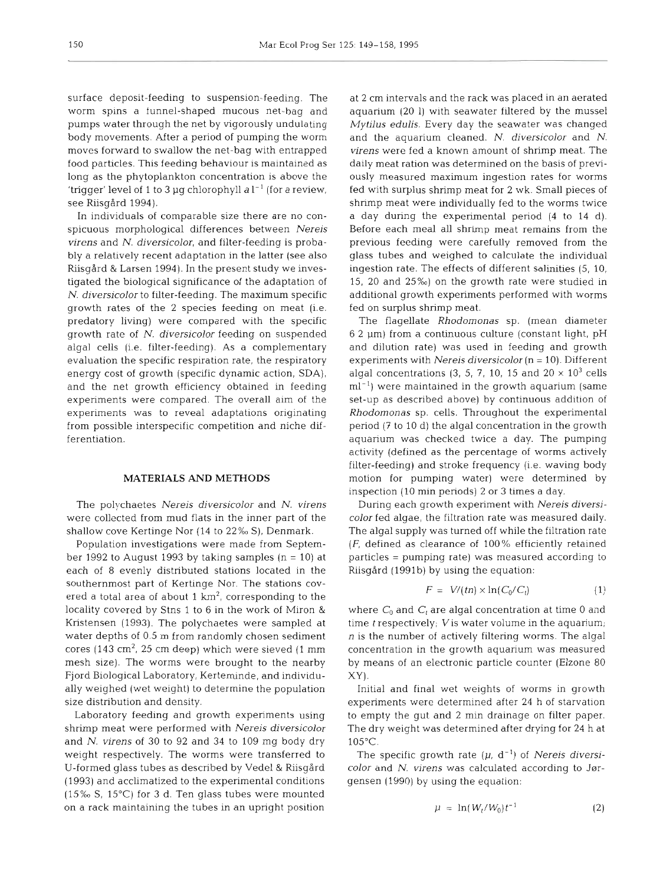surface deposit-feeding to suspension-feeding. The worm spins a funnel-shaped mucous net-bag and pumps water through the net by vigorously undulating body movements. After a period of pumping the worm moves forward to swallow the net-bag with entrapped food particles. This feeding behaviour is maintained as long as the phytoplankton concentration is above the 'trigger' level of 1 to 3 µg chlorophyll  $a l^{-1}$  (for a review, see Riisgård 1994).

In individuals of comparable size there are no conspicuous morphological differences between *Nereis virens* and *N. diversicolor,* and filter-feeding is probably a relatively recent adaptation in the latter (see also Riisgard & Larsen 1994). In the present study we investigated the biological significance of the adaptation of *N. diversicolor* to filter-feeding. The maximum specific growth rates of the 2 species feeding on meat (i.e. predatory living) were compared with the specific growth rate of *N. diversicolor* feeding on suspended algal cells (i.e. filter-feeding), As a complementary evaluation the specific respiration rate, the respiratory energy cost of growth (specific dynamic action, SDA), and the net growth efficiency obtained in feeding experiments were compared. The overall aim of the experiments was to reveal adaptations originating from possible interspecific competition and niche differentiation.

## **MATERIALS AND METHODS**

The polychaetes *Nereis diversicolor* and *N. virens*  were collected from mud flats in the inner part of the shallow cove Kertinge Nor (14 to 22% S), Denmark.

Population investigations were made from September 1992 to August 1993 by taking samples  $(n = 10)$  at each of 8 evenly distributed stations located in the southernmost part of Kertinge Nor. The stations covered a total area of about 1  $km^2$ , corresponding to the locality covered by Stns 1 to 6 in the work of Miron & Kristensen (1993). The polychaetes were sampled at water depths of 0.5 m from randomly chosen sediment cores (143 cm<sup>2</sup>, 25 cm deep) which were sieved (1 mm mesh size). The worms were brought to the nearby Fjord Biological Laboratory, Kerteminde, and individually weighed (wet weight) to determine the population size distribution and density.

Laboratory feeding and growth experiments using shrimp meat were performed with *Nereis diversicolor*  and *N. virens* of 30 to 92 and 34 to 109 mg body dry weight respectively. The worms were transferred to U-formed glass tubes as described by Vedel & Riisgård (1993) and acclimatized to the experimental conditions  $(15\% S, 15^{\circ}C)$  for 3 d. Ten glass tubes were mounted on a rack maintaining the tubes in an upright position

at 2 cm intervals and the rack was placed in an aerated aquarium (20 1) with seawater filtered by the mussel *Mytilus edulis.* Every day the seawater was changed and the aquarium cleaned. *N. diversicolor* and *N. virens* were fed a known amount of shrimp meat. The daily meat ration was determined on the basis of previously measured maximum ingestion rates for worms fed with surplus shrimp meat for 2 wk. Small pieces of shrimp meat were individually fed to the worms twice a day during the experimental period (4 to 14 d). Before each meal all shrimp meat remains from the previous feeding were carefully removed from the glass tubes and weighed to calculate the individual ingestion rate. The effects of different salinities (5, 10, 15, 20 and 25%0) on the growth rate were studied in additional growth experiments performed with worms fed on surplus shrimp meat.

The flagellate *Rhodomonas* sp. (mean diameter  $6.2 \mu m$ ) from a continuous culture (constant light, pH and dilution rate) was used in feeding and growth experiments with *Nereis diversicolor* (n = 10). Different algal concentrations  $(3, 5, 7, 10, 15, \text{and } 20 \times 10^3 \text{ cells})$  $ml^{-1}$ ) were maintained in the growth aquarium (same set-up as described above) by continuous addition of *Rhodornonas* sp. cells. Throughout the experimental period (7 to 10 d) the algal concentration in the growth aquarium was checked twice a day. The pumping activity (defined as the percentage of worms actively filter-feeding) and stroke frequency (i.e. waving body motion for pumping water) were determined by inspection (10 min periods) 2 or 3 times a day.

During each growth experiment with *Nereis diversicolor* fed algae, the filtration rate was measured daily. The algal supply was turned off while the filtration rate  $(F,$  defined as clearance of 100% efficiently retained particles = pumping rate) was measured according to Riisgdrd (1991b) by using the equation:

$$
F = V/(tn) \times \ln(C_0/C_t) \tag{1}
$$

where  $C_0$  and  $C_t$  are algal concentration at time 0 and time *t* respectively; Vis water volume in the aquarium; n is the number of actively filtering worms. The algal concentration in the growth aquarium was measured by means of an electronic particle counter (Elzone 80 XY).

Initial and final wet weights of worms in growth experiments were determined after 24 h of starvation to empty the gut and 2 min drainage on filter paper. The dry weight was determined after drying for 24 h at  $105^{\circ}$ C.

The specific growth rate  $(\mu, d^{-1})$  of *Nereis diversicolor* and *N. virens* was calculated according to Jørgensen (1990) by using the equation:

$$
\mu = \ln(W_t/W_0)t^{-1} \tag{2}
$$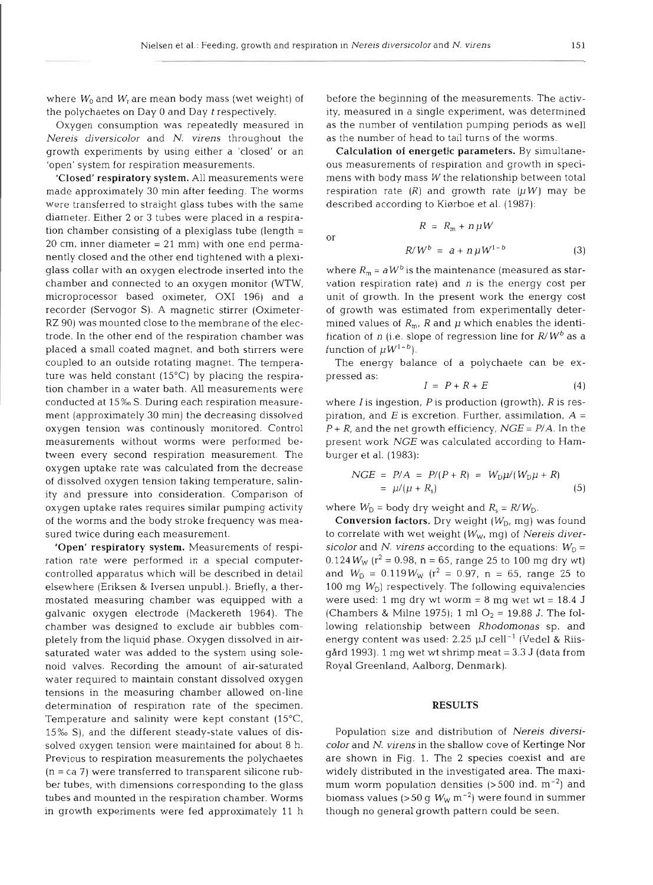<sub>or</sub>

where  $W_0$  and  $W_t$  are mean body mass (wet weight) of the polychaetes on Day 0 and Day *<sup>t</sup>*respectively.

Oxygen consumption was repeatedly measured in Nereis diversicolor and *N.* virens throughout the growth experiments by using either a 'closed' or an 'open' system for respiration measurements.

'Closed' respiratory system. All measurements were made approximately 30 min after feeding. The worms were transferred to straight glass tubes with the same diameter. Either 2 or 3 tubes were placed in a respiration chamber consisting of a plexiglass tube (length <sup>=</sup>  $20 \text{ cm}$ , inner diameter =  $21 \text{ mm}$ ) with one end permanently closed and the other end tightened with a plexiglass collar with an oxygen electrode inserted into the chamber and connected to an oxygen monitor (WTW, microprocessor based oximeter, OX1 196) and a recorder (Servogor S). **A** magnetic stirrer (Oximeter-RZ 90) was mounted close to the membrane of the electrode. In the other end of the respiration chamber was placed a small coated magnet, and both stirrers were coupled to an outside rotating magnet. The temperature was held constant (15°C) by placing the respiration chamber in a water bath. All measurements were conducted at 15%0 S. During each respiration measurement (approximately 30 min) the decreasing dissolved oxygen tension was continously monitored. Control measurements without worms were performed between every second respiration measurement. The oxygen uptake rate was calculated from the decrease of dissolved oxygen tension taking temperature, salinity and pressure into consideration. Comparison of oxygen uptake rates requires similar pumping activity of the worms and the body stroke frequency was measured twice during each measurement.

'Open' respiratory system. Measurements of respiration rate were performed in a special computercontrolled apparatus which will be described in detail elsewhere (Eriksen & Iversen unpubl.). Briefly, a thermostated measuring chamber was equipped with a galvanic oxygen electrode (Mackereth 1964). The chamber was designed to exclude air bubbles completely from the liquid phase. Oxygen dissolved in airsaturated water was added to the system using solenoid valves. Recording the amount of air-saturated water required to maintain constant dissolved oxygen tensions in the measuring chamber allowed on-line determination of respiration rate of the specimen. Temperature and salinity were kept constant (15°C, 15%0 S), and the different steady-state values of dissolved oxygen tension were maintained for about 8 h. Previous to respiration measurements the polychaetes  $(n = ca 7)$  were transferred to transparent silicone rubber tubes, with dimensions corresponding to the glass tubes and mounted in the respiration chamber. Worms in growth experiments were fed approximately 11 h

before the beginning of the measurements. The activity, measured in a single experiment, was determined as the number of ventilation pumping periods as well as the number of head to tail turns of the worms.

Calculation of energetic parameters. By simultaneous measurements of respiration and growth in specimens with body mass W the relationship between total respiration rate  $(R)$  and growth rate  $(\mu W)$  may be described according to Kiørboe et al. (1987):

 $R = R_m + n uW$ 

$$
R/W^b = a + n \mu W^{1-b} \tag{3}
$$

where  $R_m = aW^b$  is the maintenance (measured as starvation respiration rate) and  $n$  is the energy cost per unit of growth. In the present work the energy cost of growth was estimated from experimentally determined values of  $R_m$ , R and  $\mu$  which enables the identification of n (i.e. slope of regression line for  $R/W^b$  as a function of  $\mu W^{1-b}$ ).

The energy balance of a polychaete can be expressed as:

$$
I = P + R + E \tag{4}
$$

where  $I$  is ingestion,  $P$  is production (growth),  $R$  is respiration, and  $E$  is excretion. Further, assimilation,  $A =$  $P + R$ , and the net growth efficiency,  $NGE = P/A$ . In the present work *NGE* was calculated according to Hamburger et al. (1983):

$$
NGE = P/A = P/(P + R) = WD \mu/(WD \mu + R)
$$
  
=  $\mu/(\mu + R_s)$  (5)

where  $W_D$  = body dry weight and  $R_s = R/W_D$ .

**Conversion factors.** Dry weight  $(W_D, mg)$  was found to correlate with wet weight  $(W_W, mg)$  of Nereis diversicolor and *N.* virens according to the equations:  $W_D =$  $0.124 W_W$  (r<sup>2</sup> = 0.98, n = 65, range 25 to 100 mg dry wt) and  $W_{\rm D} = 0.119 W_{\rm W}$  (r<sup>2</sup> = 0.97, n = 65, range 25 to 100 mg  $W_{\text{D}}$  respectively. The following equivalencies were used: 1 mg dry wt worm  $= 8$  mg wet wt  $= 18.4$  J (Chambers & Milne 1975); 1 ml  $O_2 = 19.88$  J. The following relationship between Rhodomonas sp. and energy content was used:  $2.25$   $\mu$ J cell $^{-1}$  (Vedel & Riisgård 1993). 1 mg wet wt shrimp meat  $= 3.3$  J (data from Royal Greenland, Aalborg, Denmark).

#### **RESULTS**

Population size and distribution of Nereis diversicolor and *N.* virens in the shallow cove of Kertinge Nor are shown in Fig. 1. The 2 species coexist and are widely distributed in the investigated area. The maximum worm population densities  $(>500$  ind.  $m^{-2})$  and biomass values (>50 g  $W_W$  m<sup>-2</sup>) were found in summer though no general growth pattern could be seen.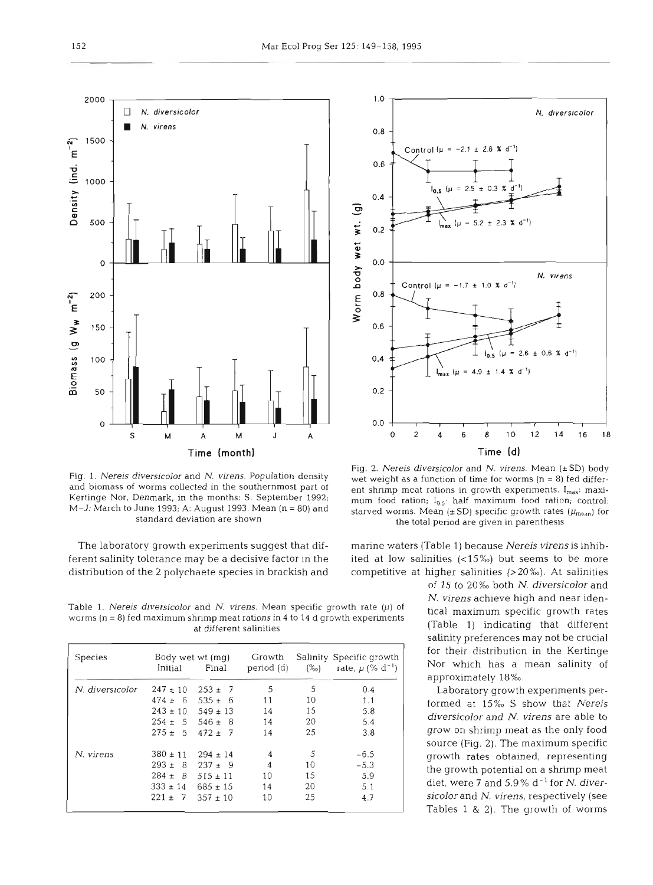

Fig. 1. Nereis diversicolor and N. virens. Population density and biomass of worms collected in the southernmost part of Kertinge Nor. Denmark. in the months: S: September 1992; M-J: March to June 1993; A: August 1993. Mean (n = 80) and standard deviation are shown

The laboratory growth experiments suggest that dif- marine waters (Table 1) because *Nereis virens* is inhibferent salinity tolerance may be a decisive factor in the ited at low salinities (<15%) but seems to be more distribution of the 2 polychaete species in brackish and competitive at higher salinities (>20‰). At salinities

Table 1. Nereis diversicolor and N. virens. Mean specific growth rate  $(\mu)$  of  $\mu$  is the maximum specific growth rates worms (n = 8) fed maximum shrimp meat rations in 4 to 14 d growth experiments  $\mu$  and maximum speci at different salinities (Table 1) indicating that different

|              | Body wet wt (mg) |                                                                |              | Salinity Specific growth         |  |
|--------------|------------------|----------------------------------------------------------------|--------------|----------------------------------|--|
| Initial      | Final            | period (d)                                                     | $(\% \circ)$ | rate, $\mu$ (% d <sup>-1</sup> ) |  |
| $247 \pm 10$ | $253 \pm 7$      | 5                                                              | 5            | 0.4                              |  |
| $474 + 6$    | $535 \pm 6$      | 11                                                             | 10           | 1.1                              |  |
|              |                  | 14                                                             | 15           | 5.8                              |  |
|              |                  | 14                                                             | 20           | 5.4                              |  |
| $275 + 5$    | $472 + 7$        | 14                                                             | 25           | 3.8                              |  |
| $380 \pm 11$ | $294 + 14$       | $\overline{\mathbf{4}}$                                        | 5            | $-6.5$                           |  |
| $293 + 8$    | $237 \pm 9$      | $\overline{4}$                                                 | 10           | $-5.3$                           |  |
| $284 + 8$    |                  | 10                                                             | 15           | 5.9                              |  |
| $333 \pm 14$ | $685 \pm 15$     | 14                                                             | 20           | 5.1                              |  |
| $221 \pm 7$  | $357 \pm 10$     | 10                                                             | 25           | 4.7                              |  |
|              |                  | $243 \pm 10$ 549 $\pm 13$<br>$254 + 5$ 546 + 8<br>$515 \pm 11$ |              |                                  |  |



Fig. 2. Nereis diversicolor and N. virens. Mean  $(\pm SD)$  body wet weight as a function of time for worms ( $n = 8$ ) fed different shrimp meat rations in growth experiments.  $I_{max}$ : maximum food ration;  $I_{0.5}$ : half maximum food ration; control: starved worms. Mean (±SD) specific growth rates ( $\mu_{\rm{mean}}$ ) for the total period are given in parenthesis

of 15 to 20% both N. diversicolor and salinity preferences may not be crucial for their distribution in the Kertinge Nor which has a mean salinity of approximately 18%

Laboratory growth experiments performed at 15% S show that *Nereis diversicolor* and *N. virens* are able to grow on shrimp meat as the only food source (Fig. 2). The maximum specific growth rates obtained, representing the growth potential on a shrimp meat diet, were **7** and 5.9% d-' for N. *diversicolor* and *N. virens,* respectively (see Tables 1 & 2). The growth of worms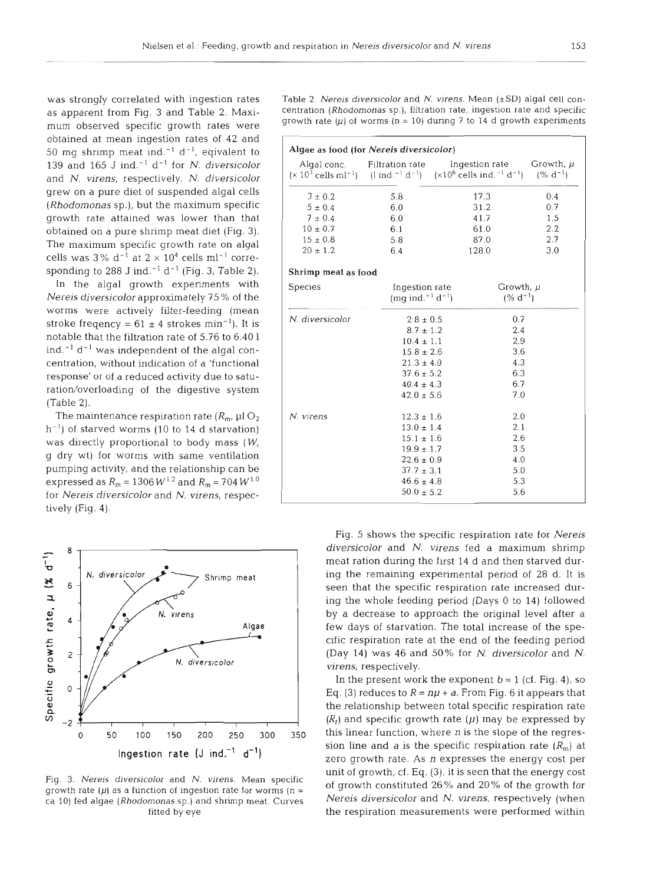mum observed specific growth rates were obtained at mean ingestion rates of 42 and 50 mg shrimp meat ind.<sup>-1</sup> d<sup>-1</sup>, eqivalent to 139 and 165 J ind. $^{-1}$  d<sup>-1</sup> for N. diversicolor and N. virens, respectively. N. diversicolor grew on a pure diet of suspended algal cells (Rhodomonas sp.), but the maximum specific growth rate attained was lower than that obtained on a pure shrimp meat diet (Fig. 3). The maximum specific growth rate on algal cells was  $3\%$  d<sup>-1</sup> at  $2 \times 10^4$  cells ml<sup>-1</sup> corresponding to 288 J ind.<sup>-1</sup> d<sup>-1</sup> (Fig. 3, Table 2).

In the algal growth experiments with Nereis diversicolor approximately 75 % of the worms were actively filter-feeding (mean stroke freqency =  $61 \pm 4$  strokes min<sup>-1</sup>). It is notable that the filtration rate of 5.76 to 6.40 1 ind. $^{-1}$  d<sup>-1</sup> was independent of the algal concentration, without indication of a 'functional response' or of a reduced activity due to saturation/overloading of the digestive system (Table 2).

The maintenance respiration rate  $(R_m, \mu$ l  $O_2)$  $h^{-1}$ ) of starved worms (10 to 14 d starvation) was directly proportional to body mass (W, g dry wt) for worms with same ventilation pumping activity, and the relationship can be expressed as  $R_m = 1306 W^{1.2}$  and  $R_m = 704 W^{1.0}$ for Nereis diversicolor and N. virens, respectively (Fig. 4).



Fig. 3. Nereis diversicolor and N. virens. Mean specific growth rate  $(\mu)$  as a function of ingestion rate for worms (n = ca 10) fed algae (Rhodomonas sp.) and shrimp meat. Curves fitted by eye

was strongly correlated with ingestion rates Table 2. Nereis diversicolor and N. virens. Mean **(\*SD)** algal cell conas apparent from Fig. 3 and Table 2. Maxi-<br>
growth rate  $(\mu)$  of worms  $(n = 10)$  during 7 to 14 d growth experiments

| Algae as food (for Nereis diversicolor) |                                                                                           |                                                                                                                                                     |                                   |  |  |  |  |
|-----------------------------------------|-------------------------------------------------------------------------------------------|-----------------------------------------------------------------------------------------------------------------------------------------------------|-----------------------------------|--|--|--|--|
|                                         | Algal conc. Filtration rate                                                               | Ingestion rate<br>$(\times 10^3 \text{ cells m}^{-1})$ (1 ind. <sup>-1</sup> d <sup>-1</sup> ) $(\times 10^6 \text{ cells in}^{-1} \text{ d}^{-1})$ | Growth, $\mu$<br>$(% d-1)$<br>0.4 |  |  |  |  |
| $3 \pm 0.2$                             | 5.8                                                                                       | 17.3                                                                                                                                                |                                   |  |  |  |  |
| $5 \pm 0.4$                             | 6.0                                                                                       | 31.2                                                                                                                                                | 0.7                               |  |  |  |  |
| $7 \pm 0.4$                             | 6.0                                                                                       | 41.7                                                                                                                                                | 1.5                               |  |  |  |  |
| $10 \pm 0.7$                            | 6.1                                                                                       | 61.0                                                                                                                                                | 2.2                               |  |  |  |  |
| $15 \pm 0.8$                            | 5.8                                                                                       | 87.0                                                                                                                                                | 2.7                               |  |  |  |  |
| $20 \pm 1.2$                            | 6.4                                                                                       | 128.0                                                                                                                                               | 3.0                               |  |  |  |  |
| Shrimp meat as food                     |                                                                                           |                                                                                                                                                     |                                   |  |  |  |  |
| <b>Species</b>                          | Ingestion rate<br>Growth, µ<br>$(mg$ ind. <sup>-1</sup> d <sup>-1</sup> )<br>$(% d^{-1})$ |                                                                                                                                                     |                                   |  |  |  |  |
| N. diversicolor                         | $2.8 \pm 0.5$                                                                             |                                                                                                                                                     | 0.7                               |  |  |  |  |
|                                         | $8.7 \pm 1.2$                                                                             |                                                                                                                                                     | 2.4                               |  |  |  |  |
|                                         | $10.4 \pm 1.1$                                                                            |                                                                                                                                                     | 2.9                               |  |  |  |  |
|                                         | $15.8 \pm 2.6$                                                                            |                                                                                                                                                     | 3.6                               |  |  |  |  |
|                                         | $21.3 \pm 4.9$                                                                            |                                                                                                                                                     | 4.3                               |  |  |  |  |
|                                         | $37.6 \pm 5.2$                                                                            | 6.3                                                                                                                                                 |                                   |  |  |  |  |
|                                         | $40.4 \pm 4.3$                                                                            |                                                                                                                                                     | 6.7                               |  |  |  |  |
|                                         | $42.0 \pm 5.6$                                                                            | 7.0                                                                                                                                                 |                                   |  |  |  |  |
| N. virens                               | $12.3 \pm 1.6$                                                                            | 2.0                                                                                                                                                 |                                   |  |  |  |  |
|                                         | $13.0 \pm 1.4$                                                                            |                                                                                                                                                     | 2.1                               |  |  |  |  |
|                                         | $15.1 \pm 1.6$                                                                            |                                                                                                                                                     | 2.6                               |  |  |  |  |
|                                         | $19.9 \pm 1.7$                                                                            |                                                                                                                                                     | 3.5                               |  |  |  |  |
|                                         | $22.6 \pm 0.9$                                                                            |                                                                                                                                                     | 4.0                               |  |  |  |  |
|                                         | $37.7 \pm 3.1$                                                                            | 5.0                                                                                                                                                 |                                   |  |  |  |  |
|                                         | $46.6 \pm 4.8$                                                                            |                                                                                                                                                     | 5.3                               |  |  |  |  |
|                                         | $50.0 \pm 5.2$                                                                            | 5.6                                                                                                                                                 |                                   |  |  |  |  |

Fig. 5 shows the specific respiration rate for Nereis diversicolor and N. virens fed a maximum shrimp meat ration during the first 14 d and then starved during the remaining experimental period of 28 d. It is seen that the specific respiration rate increased during the whole feeding period (Days 0 to 14) followed by a decrease to approach the original level after a few days of starvation. The total increase of the specific respiration rate at the end of the feeding period (Day 14) was 46 and 50% for N. diversicolor and N. virens, respectively.

In the present work the exponent  $b \approx 1$  (cf. Fig. 4), so Eq. (3) reduces to  $R = n\mu + a$ . From Fig. 6 it appears that the relationship between total specific respiration rate  $(R<sub>t</sub>)$  and specific growth rate  $(\mu)$  may be expressed by this linear function, where  $n$  is the slope of the regression line and a is the specific respiration rate  $(R<sub>m</sub>)$  at zero growth rate. As n expresses the energy cost per unit of growth, cf. Eq. (3), it is seen that the energy cost of growth constituted 26% and 20% of the growth for Nereis diversicolor and N. virens, respectively (when the respiration measurements were performed within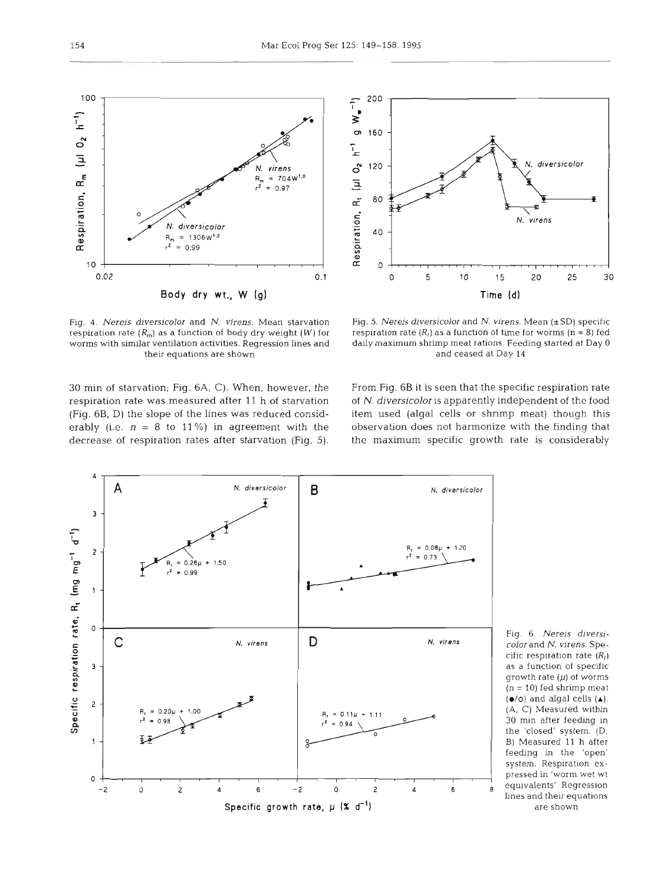30 min of starvation; Fig. **6A,** C). When, however, the From Fig. 6B it is seen that the specific respiration rate respiration rate was measured after 11 h of starvation of N. diversicolor is apparently independent of the food (Fig. 6B, D) the slope of the lines was reduced consid- item used (algal cells or shrimp meat) though this erably (i.e. n = 8 to **11** %) in agreement with the observation does not harmonize with the finding that decrease of respiration rates after starvation (Fig. S), the maximum specific growth rate is considerably

daily maximum shrimp meat rations. Feeding started at Day 0

Fig. 6. Nereis diversi*color* and *N. virens.* Specific respiration rate  $(R<sub>l</sub>)$ as a function of specific growth rate  $(\mu)$  of worms (n = **10)** fed shrimp meat  $(\bullet/\circ)$  and algal cells  $(\bullet)$ . (A, C) Measured within 30 min after feeding in the 'closed' system. (D, B) Measured 11 h after feeding in the 'open' system. Respiration expressed in 'worm wet **wt**  lines and their equations

. **diversicolor** 

N. virens

20

25

30

200

80

 $\tilde{t}$  $\overline{\mathbf{v}}$ 

> $\sigma$ 160

 $\tilde{L}$ 

 $\circ$ 120

 $\bar{a}$ 





respiration rate  $(R_m)$  as a function of body dry weight  $(W)$  for worms with similar ventilation activities. Regression lines and their equations are shown and ceased at Day **<sup>14</sup>**

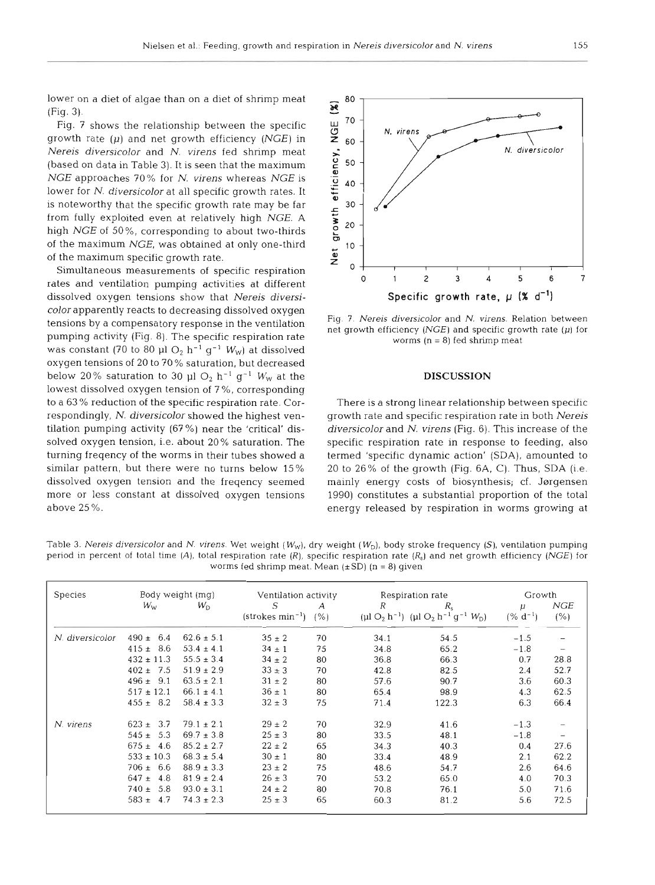lower on a diet of algae than on a diet of shrimp meat  $\overline{\mathcal{R}}$  80 (Fig. 3).  $F$ ig. 3).<br>Fig. 7 shows the relationship between the specific

growth rate  $(\mu)$  and net growth efficiency (NGE) in *Nereis diversicolor* and N. *virens* fed shrimp meat (based on data in Table 3). It is seen that the maximum<br> *NGE* approaches 70% for *N. virens whereas NGE* is  $\frac{9}{10}$  40 lower for *N. diversicolor* at all specific growth rates. It is noteworthy that the specific growth rate may be far  $\overline{\phantom{a}}$  30 from fully exploited even at relatively high NGE. A high *NGE* of 50%, corresponding to about two-thirds of the maximum specific growth rate.

dissolved oxygen tensions show that *Nereis diversicolor* apparently reacts to decreasing dissolved oxygen tensions by a compensatory response in the ventilation pumping activity (Fig. 8). The specific respiration rate was constant (70 to 80  $\mu$ l O<sub>2</sub> h<sup>-1</sup> g<sup>-1</sup> W<sub>W</sub>) at dissolved oxygen tensions of 20 to 70 % saturation, but decreased below 20% saturation to 30 µl  $O_2$  h<sup>-1</sup> g<sup>-1</sup> W<sub>W</sub> at the lowest dissolved oxygen tension of 7 %, corresponding to a 63 % reduction of the specific respiration rate. Correspondingly, N. *diversicolor* showed the highest ventilation pumping activity (67 %) near the 'critical' dissolved oxygen tension, i.e. about 20% saturation. The turning freqency of the worms in their tubes showed a similar pattern, but there were no turns below 15 % dissolved oxygen tension and the freqency seemed more or less constant at dissolved oxygen tensions above 25 %.



Fig. 7. Nereis diversicolor and N. virens. Relation between net growth efficiency (NGE) and specific growth rate  $(\mu)$  for worms  $(n = 8)$  fed shrimp meat

## **DISCUSSION**

There is a strong linear relationship between specific growth rate and specific respiration rate in both *Nereis diversicolor* and *N. virens* (Fig. 6). This increase of the specific respiration rate in response to feeding, also termed 'specific dynamic action' (SDA), amounted to 20 to 26% of the growth (Fig. 6A, C). Thus, SDA (i.e. mainly energy costs of biosynthesis; cf. Jørgensen 1990) constitutes a substantial proportion of the total energy released by respiration in worms growing at

| Species         | Body weight (mg) |                | Ventilation activity                    |    | Respiration rate |                                                                                                                | Growth            |                   |
|-----------------|------------------|----------------|-----------------------------------------|----|------------------|----------------------------------------------------------------------------------------------------------------|-------------------|-------------------|
|                 | $W_{W}$          | $W_{\rm D}$    | S<br>$(\text{strokes min}^{-1})$ $(\%)$ | A  | R                | $R_{\rm s}$<br>(µl O <sub>2</sub> h <sup>-1</sup> ) (µl O <sub>2</sub> h <sup>-1</sup> g <sup>-1</sup> $W_D$ ) | μ<br>$(% d^{-1})$ | NGE<br>(% )       |
| N. diversicolor | $490 \pm 6.4$    | $62.6 \pm 5.1$ | $35 \pm 2$                              | 70 | 34.1             | 54.5                                                                                                           | $-1.5$            |                   |
|                 | $415 \pm 8.6$    | $53.4 \pm 4.1$ | $34 \pm 1$                              | 75 | 34.8             | 65.2                                                                                                           | $-1.8$            | $\qquad \qquad -$ |
|                 | $432 \pm 11.3$   | $55.5 \pm 3.4$ | $34 \pm 2$                              | 80 | 36.8             | 66.3                                                                                                           | 0.7               | 28.8              |
|                 | $402 \pm 7.5$    | $51.9 \pm 2.9$ | $33 \pm 3$                              | 70 | 42.8             | 82.5                                                                                                           | 2.4               | 52.7              |
|                 | $496 \pm 9.1$    | $63.5 \pm 2.1$ | $31 \pm 2$                              | 80 | 57.6             | 90.7                                                                                                           | 3.6               | 60.3              |
|                 | $517 \pm 12.1$   | $66.1 \pm 4.1$ | $36 \pm 1$                              | 80 | 65.4             | 98.9                                                                                                           | 4.3               | 62.5              |
|                 | $455 \pm 8.2$    | $58.4 \pm 3.3$ | $32 \pm 3$                              | 75 | 71.4             | 122.3                                                                                                          | 6.3               | 66.4              |
| N. virens       | $623 \pm 3.7$    | $79.1 \pm 2.1$ | $29 \pm 2$                              | 70 | 32.9             | 41.6                                                                                                           | $-1.3$            |                   |
|                 | $545 \pm 5.3$    | $69.7 \pm 3.8$ | $25 \pm 3$                              | 80 | 33.5             | 48.1                                                                                                           | $-1.8$            |                   |
|                 | $675 \pm 4.6$    | $85.2 \pm 2.7$ | $22 \pm 2$                              | 65 | 34.3             | 40.3                                                                                                           | 0.4               | 27.6              |
|                 | $533 \pm 10.3$   | $68.3 \pm 5.4$ | $30 \pm 1$                              | 80 | 33.4             | 48.9                                                                                                           | 2.1               | 62.2              |
|                 | $706 \pm 6.6$    | $88.9 \pm 3.3$ | $23 \pm 2$                              | 75 | 48.6             | 54.7                                                                                                           | 2.6               | 64.6              |
|                 | $647 \pm 4.8$    | $81.9 \pm 2.4$ | $26 \pm 3$                              | 70 | 53.2             | 65.0                                                                                                           | 4.0               | 70.3              |
|                 | $740 \pm 5.8$    | $93.0 \pm 3.1$ | $24 \pm 2$                              | 80 | 70.8             | 76.1                                                                                                           | 5.0               | 71.6              |
|                 | $583 \pm 4.7$    | $74.3 \pm 2.3$ | $25 \pm 3$                              | 65 | 60.3             | 81.2                                                                                                           | 5.6               | 72.5              |

Table 3. Nereis diversicolor and N. virens. Wet weight (W<sub>w</sub>), dry weight (W<sub>D</sub>), body stroke frequency (S), ventilation pumping period in percent of total time (A), total respiration rate (R), specific respiration rate ( $R_s$ ) and net growth efficiency (NGE) for worms fed shrimp meat. Mean  $(\pm SD)$  (n = 8) given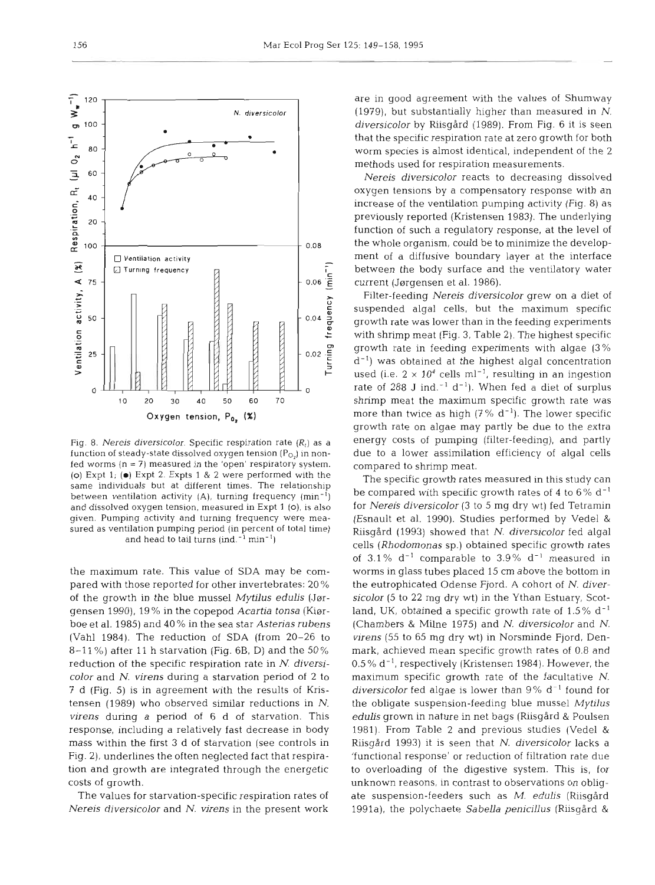

the maximum rate. This value of SDA may be compared with those reported for other invertebrates: 20 % of the growth in the blue mussel *Mytilus edulis* (Jargensen 1990), 19 % in the copepod *Acartia tonsa* (Kiarboe et al. 1985) and 40 % in the sea star *Asterias rubens*  (Vahl 1984). The reduction of SDA (from 20-26 to 8-11 %) after 11 h starvation (Fig. 6B, D) and the 50% reduction of the specific respiration rate in *N. diversicolor* and *N. virens* during a starvation period of 2 to 7 d (Fig. 5) is in agreement with the results of Kristensen (1989) who observed similar reductions in N. *virens* during a period of 6 d of starvation. This response, including a relatively fast decrease in body mass within the first 3 d of starvation (see controls in Fig. 2), underlines the often neglected fact that respiration and growth are integrated through the energetic costs of growth.

The values for starvation-specific respiration rates of *Nereis diversicolor* and *N. virens* in the present work

are in good agreement with the values of Shumway (1979), but substantially higher than measured in *N.*  diversicolor by Riisgård (1989). From Fig. 6 it is seen that the specific respiration rate at zero growth for both worm species is almost identical, independent of the 2 methods used for respiration measurements.

*Nereis diversicolor* reacts to decreasing dissolved oxygen tensions by a compensatory response with an increase of the ventilation pumping activity (Fig. 8) as previously reported (Kristensen 1983). The underlying function of such a regulatory response, at the level of the whole organism, could be to minimize the development of a diffusive boundary layer at the interface between the body surface and the ventilatory water current (Jørgensen et al. 1986).

Filter-feeding *Nereis diversicolor* grew on a diet of suspended algal cells, but the maximum specific growth rate was lower than in the feeding experiments with shrimp meat (Fig. 3, Table 2). The highest specific growth rate in feeding experiments with algae (3%  $d^{-1}$ ) was obtained at the highest algal concentration used (i.e.  $2 \times 10^4$  cells ml<sup>-1</sup>, resulting in an ingestion rate of 288 J ind. $^{-1}$  d<sup>-1</sup>). When fed a diet of surplus shrimp meat the maximum specific growth rate was more than twice as high  $(7\% d^{-1})$ . The lower specific growth rate on algae may partly be due to the extra energy costs of pumping (filter-feeding), and partly due to a lower assimilation efficiency of algal cells compared to shrimp meat.

The specific growth rates measured in this study can be compared with specific growth rates of 4 to 6%  $\rm{d}^{-1}$ for *Nereis diversicolor* (3 to 5 mg dry wt) fed Tetramin (Esnault et al. 1990). Studies performed by Vedel & Riisgard (1993) showed that N. *diversicolor* fed algal cells *(Rhodomonas* sp.) obtained specific growth rates of  $3.1\%$  d<sup>-1</sup> comparable to  $3.9\%$  d<sup>-1</sup> measured in worms in glass tubes placed 15 cm above the bottom in the eutrophicated Odense Fjord. A cohort of N. *diversicolor* (5 to 22 mg dry wt) in the Ythan Estuary, Scotland, UK, obtained a specific growth rate of  $1.5\%$  d<sup>-1</sup> (Chambers & Milne 1975) and N. *diversicolor* and *N. virens* (55 to 65 mg dry wt) in Norsminde Fjord, Denmark, achieved mean specific growth rates of 0.8 and 0.5 % d-l, respectively (Kristensen 1984). However, the maximum specific growth rate of the facultative N. *diversicolor* fed algae is lower than 9% d-' found for the obligate suspension-feeding blue mussel *Myfilus*  edulis grown in nature in net bags (Riisgård & Poulsen 1981). From Table 2 and previous studies (Vedel & Riisgard 1993) it is seen that *N. diversicolor* lacks a 'functional response' or reduction of filtration rate due to overloading of the digestive system. This is, for unknown reasons, in contrast to observations on obligate suspension-feeders such as M. edulis (Riisgård 1991a), the polychaete Sabella penicillus (Riisgård &

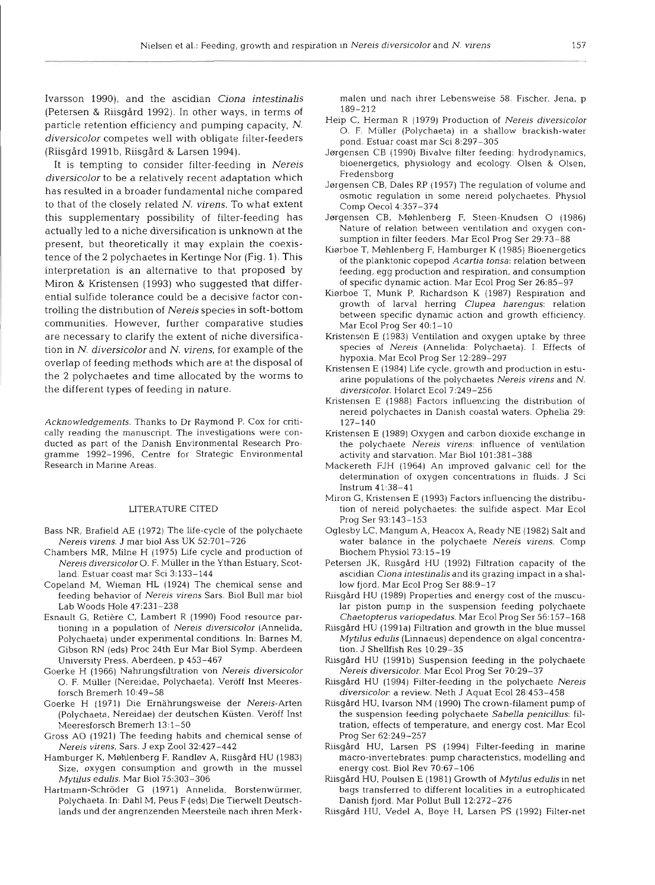Ivarsson 1990), and the ascidian *Ciona intestinalis*  (Petersen & Riisgård 1992). In other ways, in terms of particle retention efficiency and pumping capacity, *N. diversicolor* competes well with obligate filter-feeders (Riisgård 1991b, Riisgård & Larsen 1994).

It is tempting to consider filter-feeding in *Nereis diversicolor* to be a relatively recent adaptation which has resulted in a broader fundamental niche compared to that of the closely related N. *virens.* To what extent this supplementary possibility of filter-feeding has actually led to a niche diversification is unknown at the present, but theoretically it may explain the coexistence of the 2 polychaetes in Kertinge Nor (Fig. 1). This interpretation is an alternative to that proposed by Miron & Kristensen (1993) who suggested that differential sulfide tolerance could be a decisive factor controlling the distribution of *Nereis* species in soft-bottom communities. However, further comparative studies are necessary to clarify the extent of niche diversification in *N. diversicolor* and *N. virens,* for example of the overlap of feeding methods which are at the disposal of the **2** polychaetes and time allocated by the worms to the different types of feeding in nature.

Acknowledgements. Thanks to Dr Raymond P. Cox for critically reading the manuscript. The investigations were conducted as part of the Danish Environmental Research Programme 1992-1996, Centre for Strategic Environmental Research in Marine Areas.

#### LITERATURE CITED

- Bass NR, Brafield **AE** (1972) The life-cycle of the polychaete Nereis virens. J mar biol Ass UK 52:701-726
- Chambers MR, Milne H (1975) Life cycle and production of Nereis diversicolor0. F. Muller in the Ythan Estuary, Scotland. Estuar coast mar Sci 3:133-144
- Copeland M, Wieman HL (1924) The chemical sense and feeding behavior of Nereis virens Sars. Biol Bull mar biol Lab Woods Hole 47:231-238
- Esnault G, Retiere C, Lambert R (1990) Food resource partioning in a population of Nereis diversicolor (Annelida, Polychaeta) under expenmental conditions. In: Barnes M, Gibson RN (eds) Proc 24th Eur Mar Biol Symp. Aberdeen University Press, Aberdeen, p 453-467
- Goerke H (1966) Nahrungsflltration von Nereis diversicolor 0. F. Muller (Nereidae, Polychaeta). Veroff Inst Meeresforsch Bremerh 10:49-58
- Goerke H (1971) Die Ernahrungsweise der Nereis-Arten (Polychaeta, Nereidae) der deutschen Küsten. Veröff Inst Meeresforsch Bremerh 13:l-50
- Gross A0 (1921) The feeding habits and chemical sense of Nereis virens, Sars. J exp Zoo1 32:427-442
- Hamburger K, Møhlenberg F, Randløv A, Riisgård HU (1983) Size, oxygen consumption and growth in the mussel Mytilus edulis. Mar Biol ?5:303-306
- Hartmann-Schroder G (1971) Annelida. Borstenwurmer, Polychaeta. In: Dahl M. Peus F (eds) Die Tierwelt Deutschlands und der angrenzenden Meersteile nach ihren Merk-

- 
- 
- 
- 
- manu anch ihrer Lebensweise 58. Fischer, Jena, p<br>
189–212<br>
Heip C. Herman R (1999) Production of Neteria diversical<br>
Deposition (1893) Bivolve III et adding broadcastic spont Estatemented on Risington C. F. Muller (Polych
- 
- 
- 
- 
- 
- 
- 
- 
- 
- 
- 
- 
- 
- 
- 
- 
-